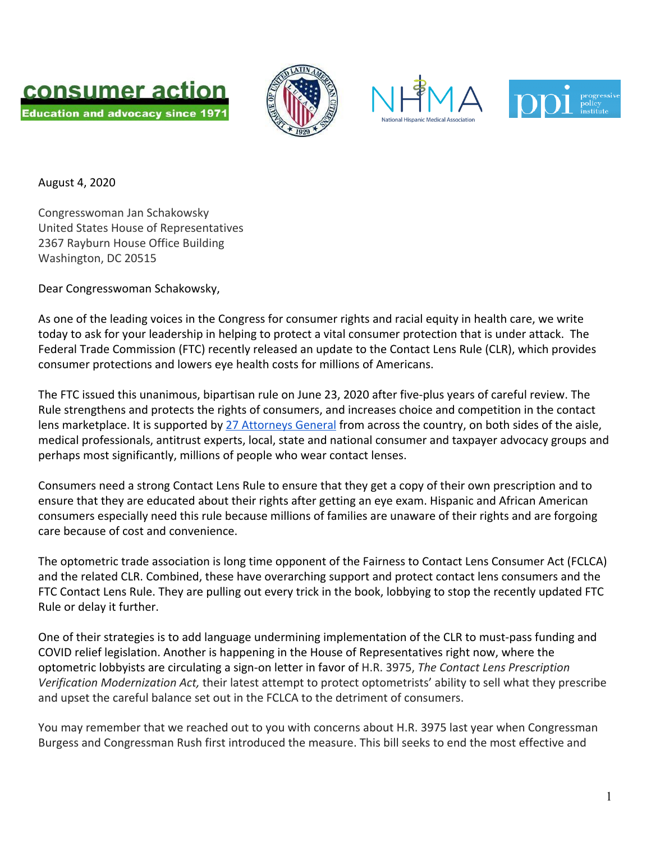







August 4, 2020

Congresswoman Jan Schakowsky United States House of Representatives 2367 Rayburn House Office Building Washington, DC 20515

Dear Congresswoman Schakowsky,

As one of the leading voices in the Congress for consumer rights and racial equity in health care, we write today to ask for your leadership in helping to protect a vital consumer protection that is under attack. The Federal Trade Commission (FTC) recently released an update to the Contact Lens Rule (CLR), which provides consumer protections and lowers eye health costs for millions of Americans.

The FTC issued this unanimous, bipartisan rule on June 23, 2020 after five-plus years of careful review. The Rule strengthens and protects the rights of consumers, and increases choice and competition in the contact lens marketplace. It is supported by [27 Attorneys General](https://keepcontactlenschoice.com/what-others-are-saying/27-attorneys-general-letter-to-ftc-july-2019/) from across the country, on both sides of the aisle, medical professionals, antitrust experts, local, state and national consumer and taxpayer advocacy groups and perhaps most significantly, millions of people who wear contact lenses.

Consumers need a strong Contact Lens Rule to ensure that they get a copy of their own prescription and to ensure that they are educated about their rights after getting an eye exam. Hispanic and African American consumers especially need this rule because millions of families are unaware of their rights and are forgoing care because of cost and convenience.

The optometric trade association is long time opponent of the Fairness to Contact Lens Consumer Act (FCLCA) and the related CLR. Combined, these have overarching support and protect contact lens consumers and the FTC Contact Lens Rule. They are pulling out every trick in the book, lobbying to stop the recently updated FTC Rule or delay it further.

One of their strategies is to add language undermining implementation of the CLR to must-pass funding and COVID relief legislation. Another is happening in the House of Representatives right now, where the optometric lobbyists are circulating a sign-on letter in favor of H.R. 3975, *The Contact Lens Prescription Verification Modernization Act,* their latest attempt to protect optometrists' ability to sell what they prescribe and upset the careful balance set out in the FCLCA to the detriment of consumers.

You may remember that we reached out to you with concerns about H.R. 3975 last year when Congressman Burgess and Congressman Rush first introduced the measure. This bill seeks to end the most effective and